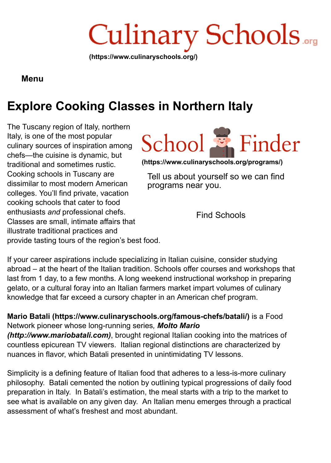

### **Menu**

# **Explore Cooking Classes in Northern Italy**

The Tuscany region of Italy, northern Italy, is one of the most popular culinary sources of inspiration among chefs—the cuisine is dynamic, but traditional and sometimes rustic. Cooking schools in Tuscany are dissimilar to most modern American colleges. You'll find private, vacation cooking schools that cater to food enthusiasts *and* professional chefs. Classes are small, intimate affairs that illustrate traditional practices and



**[\(https://www.culinaryschools.org/programs/\)](https://www.culinaryschools.org/programs/)**

Tell us about yourself so we can find programs near you.

Find Schools

provide tasting tours of the region's best food.

If your career aspirations include specializing in Italian cuisine, consider studying abroad – at the heart of the Italian tradition. Schools offer courses and workshops that last from 1 day, to a few months. A long weekend instructional workshop in preparing gelato, or a cultural foray into an Italian farmers market impart volumes of culinary knowledge that far exceed a cursory chapter in an American chef program.

**[Mario Batali \(https://www.culinaryschools.org/famous-chefs/batali/\)](https://www.culinaryschools.org/famous-chefs/batali/)** is a Food [Network pioneer whose long-running series](http://www.mariobatali.com/)*, Molto Mario*

*(http://www.mariobatali.com)*, brought regional Italian cooking into the matrices of countless epicurean TV viewers. Italian regional distinctions are characterized by nuances in flavor, which Batali presented in unintimidating TV lessons.

Simplicity is a defining feature of Italian food that adheres to a less-is-more culinary philosophy. Batali cemented the notion by outlining typical progressions of daily food preparation in Italy. In Batali's estimation, the meal starts with a trip to the market to see what is available on any given day. An Italian menu emerges through a practical assessment of what's freshest and most abundant.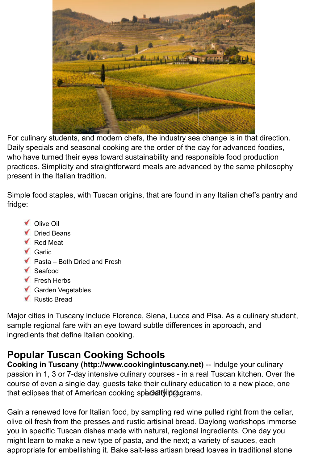

For culinary students, and modern chefs, the industry sea change is in that direction. Daily specials and seasonal cooking are the order of the day for advanced foodies, who have turned their eyes toward sustainability and responsible food production practices. Simplicity and straightforward meals are advanced by the same philosophy present in the Italian tradition.

Simple food staples, with Tuscan origins, that are found in any Italian chef's pantry and fridge:

- Olive Oil
- Dried Beans
- Red Meat
- **Garlic**
- Pasta Both Dried and Fresh
- Seafood
- ▼ Fresh Herbs
- Garden Vegetables
- Rustic Bread

Major cities in Tuscany include Florence, Siena, Lucca and Pisa. As a culinary student, sample regional fare with an eye toward subtle differences in approach, and ingredients that define Italian cooking.

# **Popular Tuscan Cooking Schools**

**[Cooking in Tuscany \(http://www.cookingintuscany.net\)](http://www.cookingintuscany.net/)** -- Indulge your culinary passion in 1, 3 or 7-day intensive culinary courses - in a real Tuscan kitchen. Over the course of even a single day, guests take their culinary education to a new place, one that eclipses that of American cooking specialty programs.

Gain a renewed love for Italian food, by sampling red wine pulled right from the cellar, olive oil fresh from the presses and rustic artisinal bread. Daylong workshops immerse you in specific Tuscan dishes made with natural, regional ingredients. One day you might learn to make a new type of pasta, and the next; a variety of sauces, each appropriate for embellishing it. Bake salt-less artisan bread loaves in traditional stone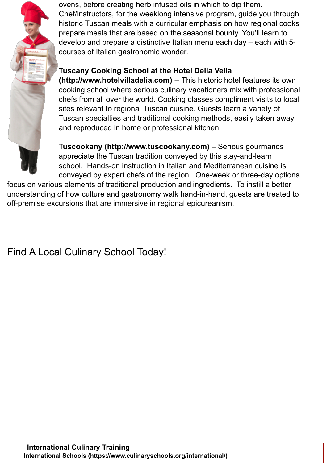

ovens, before creating herb infused oils in which to dip them. Chef/instructors, for the weeklong intensive program, guide you through historic Tuscan meals with a curricular emphasis on how regional cooks prepare meals that are based on the seasonal bounty. You'll learn to develop and prepare a distinctive Italian menu each day – each with 5 courses of Italian gastronomic wonder.

## **[Tuscany Cooking School at the Hotel Della Velia](http://www.hotelvilladelia.com/)**

**(http://www.hotelvilladelia.com)** -- This historic hotel features its own cooking school where serious culinary vacationers mix with professional chefs from all over the world. Cooking classes compliment visits to local sites relevant to regional Tuscan cuisine. Guests learn a variety of Tuscan specialties and traditional cooking methods, easily taken away and reproduced in home or professional kitchen.

**[Tuscookany \(http://www.tuscookany.com\)](http://www.tuscookany.com/)** – Serious gourmands appreciate the Tuscan tradition conveyed by this stay-and-learn school. Hands-on instruction in Italian and Mediterranean cuisine is conveyed by expert chefs of the region. One-week or three-day options

focus on various elements of traditional production and ingredients. To instill a better understanding of how culture and gastronomy walk hand-in-hand, guests are treated to off-premise excursions that are immersive in regional epicureanism.

Find A Local Culinary School Today!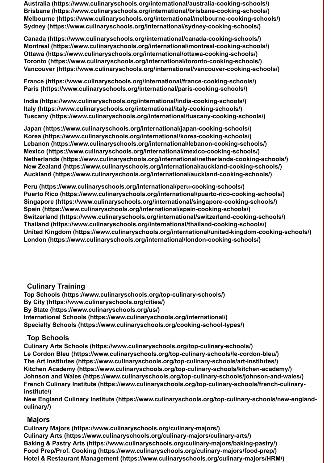**[Australia \(https://www.culinaryschools.org/international/australia-cooking-schools/\)](https://www.culinaryschools.org/international/australia-cooking-schools/) [Brisbane \(https://www.culinaryschools.org/international/brisbane-cooking-schools/\)](https://www.culinaryschools.org/international/brisbane-cooking-schools/) [Melbourne \(https://www.culinaryschools.org/international/melbourne-cooking-schools/\)](https://www.culinaryschools.org/international/melbourne-cooking-schools/) [Sydney \(https://www.culinaryschools.org/international/sydney-cooking-schools/\)](https://www.culinaryschools.org/international/sydney-cooking-schools/)**

**[Canada \(https://www.culinaryschools.org/international/canada-cooking-schools/\)](https://www.culinaryschools.org/international/canada-cooking-schools/) [Montreal \(https://www.culinaryschools.org/international/montreal-cooking-schools/\)](https://www.culinaryschools.org/international/montreal-cooking-schools/) [Ottawa \(https://www.culinaryschools.org/international/ottawa-cooking-schools/\)](https://www.culinaryschools.org/international/ottawa-cooking-schools/) [Toronto \(https://www.culinaryschools.org/international/toronto-cooking-schools/\)](https://www.culinaryschools.org/international/toronto-cooking-schools/) [Vancouver \(https://www.culinaryschools.org/international/vancouver-cooking-schools/\)](https://www.culinaryschools.org/international/vancouver-cooking-schools/)**

**[France \(https://www.culinaryschools.org/international/france-cooking-schools/\)](https://www.culinaryschools.org/international/france-cooking-schools/) [Paris \(https://www.culinaryschools.org/international/paris-cooking-schools/\)](https://www.culinaryschools.org/international/paris-cooking-schools/)**

**[India \(https://www.culinaryschools.org/international/india-cooking-schools/\)](https://www.culinaryschools.org/international/india-cooking-schools/) [Italy \(https://www.culinaryschools.org/international/italy-cooking-schools/\)](https://www.culinaryschools.org/international/italy-cooking-schools/) [Tuscany \(https://www.culinaryschools.org/international/tuscany-cooking-schools/\)](https://www.culinaryschools.org/international/tuscany-cooking-schools/)**

**[Japan \(https://www.culinaryschools.org/international/japan-cooking-schools/\)](https://www.culinaryschools.org/international/japan-cooking-schools/) [Korea \(https://www.culinaryschools.org/international/korea-cooking-schools/\)](https://www.culinaryschools.org/international/korea-cooking-schools/) [Lebanon \(https://www.culinaryschools.org/international/lebanon-cooking-schools/\)](https://www.culinaryschools.org/international/lebanon-cooking-schools/) [Mexico \(https://www.culinaryschools.org/international/mexico-cooking-schools/\)](https://www.culinaryschools.org/international/mexico-cooking-schools/) [Netherlands \(https://www.culinaryschools.org/international/netherlands-cooking-schools/\)](https://www.culinaryschools.org/international/netherlands-cooking-schools/) [New Zealand \(https://www.culinaryschools.org/international/auckland-cooking-schools/\)](https://www.culinaryschools.org/international/auckland-cooking-schools/) [Auckland \(https://www.culinaryschools.org/international/auckland-cooking-schools/\)](https://www.culinaryschools.org/international/auckland-cooking-schools/)**

**[Peru \(https://www.culinaryschools.org/international/peru-cooking-schools/\)](https://www.culinaryschools.org/international/peru-cooking-schools/) [Puerto Rico \(https://www.culinaryschools.org/international/puerto-rico-cooking-schools/\)](https://www.culinaryschools.org/international/puerto-rico-cooking-schools/) [Singapore \(https://www.culinaryschools.org/international/singapore-cooking-schools/\)](https://www.culinaryschools.org/international/singapore-cooking-schools/) [Spain \(https://www.culinaryschools.org/international/spain-cooking-schools/\)](https://www.culinaryschools.org/international/spain-cooking-schools/) [Switzerland \(https://www.culinaryschools.org/international/switzerland-cooking-schools/\)](https://www.culinaryschools.org/international/switzerland-cooking-schools/) [Thailand \(https://www.culinaryschools.org/international/thailand-cooking-schools/\)](https://www.culinaryschools.org/international/thailand-cooking-schools/) [United Kingdom \(https://www.culinaryschools.org/international/united-kingdom-cooking-schools/\)](https://www.culinaryschools.org/international/united-kingdom-cooking-schools/) [London \(https://www.culinaryschools.org/international/london-cooking-schools/\)](https://www.culinaryschools.org/international/london-cooking-schools/)**

#### **Culinary Training**

**[Top Schools \(https://www.culinaryschools.org/top-culinary-schools/\)](https://www.culinaryschools.org/top-culinary-schools/) [By City \(https://www.culinaryschools.org/cities/\)](https://www.culinaryschools.org/cities/) [By State \(https://www.culinaryschools.org/us/\)](https://www.culinaryschools.org/us/) [International Schools \(https://www.culinaryschools.org/international/\)](https://www.culinaryschools.org/international/) [Specialty Schools \(https://www.culinaryschools.org/cooking-school-types/\)](https://www.culinaryschools.org/cooking-school-types/)**

#### **Top Schools**

**[Culinary Arts Schools \(https://www.culinaryschools.org/top-culinary-schools/\)](https://www.culinaryschools.org/top-culinary-schools/) [Le Cordon Bleu \(https://www.culinaryschools.org/top-culinary-schools/le-cordon-bleu/\)](https://www.culinaryschools.org/top-culinary-schools/le-cordon-bleu/) [The Art Institutes \(https://www.culinaryschools.org/top-culinary-schools/art-institutes/\)](https://www.culinaryschools.org/top-culinary-schools/art-institutes/) [Kitchen Academy \(https://www.culinaryschools.org/top-culinary-schools/kitchen-academy/\)](https://www.culinaryschools.org/top-culinary-schools/kitchen-academy/) [Johnson and Wales \(https://www.culinaryschools.org/top-culinary-schools/johnson-and-wales/\)](https://www.culinaryschools.org/top-culinary-schools/johnson-and-wales/) [French Culinary Institute \(https://www.culinaryschools.org/top-culinary-schools/french-culinary](https://www.culinaryschools.org/top-culinary-schools/french-culinary-institute/)institute/)**

**[New England Culinary Institute \(https://www.culinaryschools.org/top-culinary-schools/new-england](https://www.culinaryschools.org/top-culinary-schools/new-england-culinary/)culinary/)**

#### **Majors**

**[Culinary Majors \(https://www.culinaryschools.org/culinary-majors/\)](https://www.culinaryschools.org/culinary-majors/) [Culinary Arts \(https://www.culinaryschools.org/culinary-majors/culinary-arts/\)](https://www.culinaryschools.org/culinary-majors/culinary-arts/) [Baking & Pastry Arts \(https://www.culinaryschools.org/culinary-majors/baking-pastry/\)](https://www.culinaryschools.org/culinary-majors/baking-pastry/) [Food Prep/Prof. Cooking \(https://www.culinaryschools.org/culinary-majors/food-prep/\)](https://www.culinaryschools.org/culinary-majors/food-prep/) [Hotel & Restaurant Management \(https://www.culinaryschools.org/culinary-majors/HRM/\)](https://www.culinaryschools.org/culinary-majors/HRM/)**